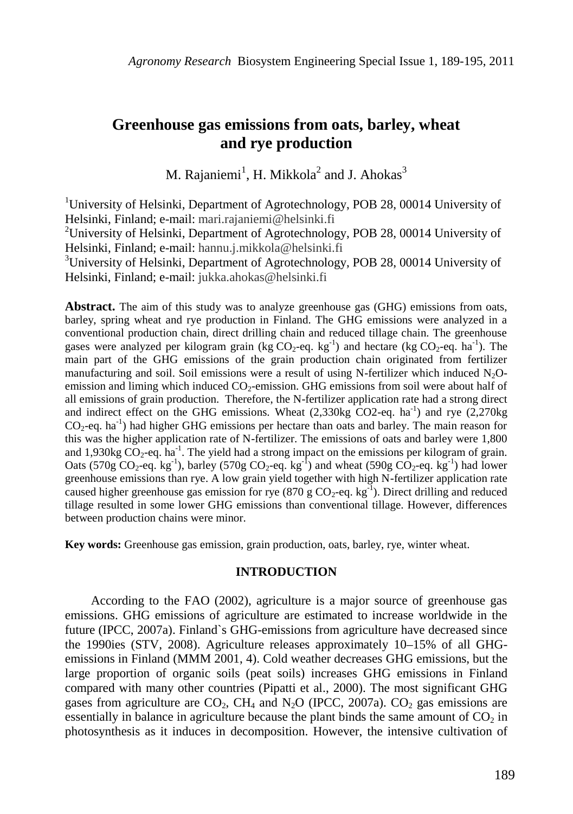# **Greenhouse gas emissions from oats, barley, wheat and rye production**

M. Rajaniemi<sup>1</sup>, H. Mikkola<sup>2</sup> and J. Ahokas<sup>3</sup>

<sup>1</sup>University of Helsinki, Department of Agrotechnology, POB 28, 00014 University of Helsinki, Finland; e-mail: mari.rajaniemi@helsinki.fi

<sup>2</sup>University of Helsinki, Department of Agrotechnology, POB 28, 00014 University of Helsinki, Finland; e-mail: hannu.j.mikkola@helsinki.fi

<sup>3</sup>University of Helsinki, Department of Agrotechnology, POB 28, 00014 University of Helsinki, Finland; e-mail: jukka.ahokas@helsinki.fi

**Abstract.** The aim of this study was to analyze greenhouse gas (GHG) emissions from oats, barley, spring wheat and rye production in Finland. The GHG emissions were analyzed in a conventional production chain, direct drilling chain and reduced tillage chain. The greenhouse gases were analyzed per kilogram grain (kg  $CO_2$ -eq. kg<sup>-1</sup>) and hectare (kg  $CO_2$ -eq. ha<sup>-1</sup>). The main part of the GHG emissions of the grain production chain originated from fertilizer manufacturing and soil. Soil emissions were a result of using N-fertilizer which induced  $N_2O$ emission and liming which induced  $CO<sub>2</sub>$ -emission. GHG emissions from soil were about half of all emissions of grain production. Therefore, the N-fertilizer application rate had a strong direct and indirect effect on the GHG emissions. Wheat  $(2,330kg \text{ CO2-eq. ha}^{-1})$  and rye  $(2,270kg \text{ m})$  $CO<sub>2</sub>$ -eq. ha<sup>-1</sup>) had higher GHG emissions per hectare than oats and barley. The main reason for this was the higher application rate of N-fertilizer. The emissions of oats and barley were 1,800 and 1,930kg  $CO_2$ -eq. ha<sup>-1</sup>. The yield had a strong impact on the emissions per kilogram of grain. Oats (570g  $CO_2$ -eq. kg<sup>-1</sup>), barley (570g  $CO_2$ -eq. kg<sup>-1</sup>) and wheat (590g  $CO_2$ -eq. kg<sup>-1</sup>) had lower greenhouse emissions than rye. A low grain yield together with high N-fertilizer application rate caused higher greenhouse gas emission for rye  $(870 \text{ g } CO_2$ -eq. kg<sup>-1</sup>). Direct drilling and reduced tillage resulted in some lower GHG emissions than conventional tillage. However, differences between production chains were minor.

**Key words:** Greenhouse gas emission, grain production, oats, barley, rye, winter wheat.

#### **INTRODUCTION**

According to the FAO (2002), agriculture is a major source of greenhouse gas emissions. GHG emissions of agriculture are estimated to increase worldwide in the future (IPCC, 2007a). Finland`s GHG-emissions from agriculture have decreased since the 1990ies (STV, 2008). Agriculture releases approximately 10–15% of all GHGemissions in Finland (MMM 2001, 4). Cold weather decreases GHG emissions, but the large proportion of organic soils (peat soils) increases GHG emissions in Finland compared with many other countries (Pipatti et al., 2000). The most significant GHG gases from agriculture are  $CO_2$ , CH<sub>4</sub> and N<sub>2</sub>O (IPCC, 2007a). CO<sub>2</sub> gas emissions are essentially in balance in agriculture because the plant binds the same amount of  $CO<sub>2</sub>$  in photosynthesis as it induces in decomposition. However, the intensive cultivation of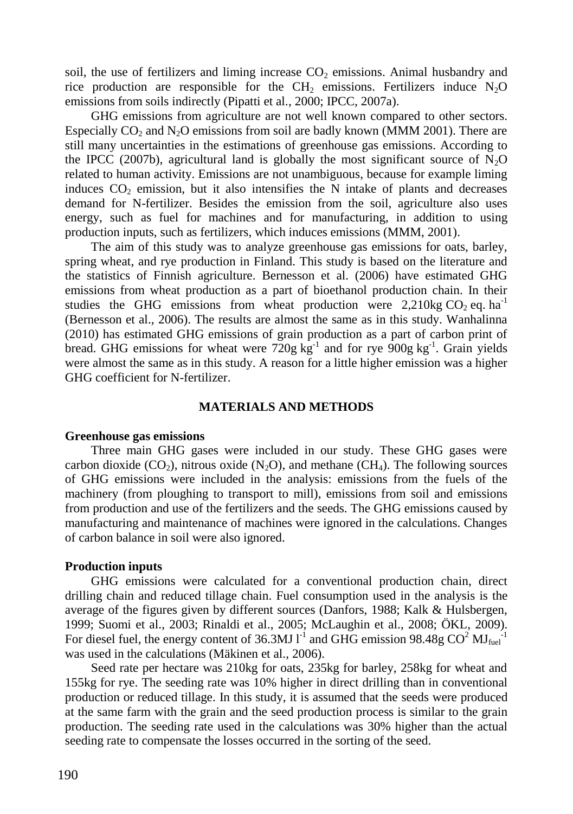soil, the use of fertilizers and liming increase  $CO<sub>2</sub>$  emissions. Animal husbandry and rice production are responsible for the  $CH<sub>2</sub>$  emissions. Fertilizers induce N<sub>2</sub>O emissions from soils indirectly (Pipatti et al., 2000; IPCC, 2007a).

GHG emissions from agriculture are not well known compared to other sectors. Especially  $CO_2$  and  $N_2O$  emissions from soil are badly known (MMM 2001). There are still many uncertainties in the estimations of greenhouse gas emissions. According to the IPCC (2007b), agricultural land is globally the most significant source of  $N_2O$ related to human activity. Emissions are not unambiguous, because for example liming induces  $CO<sub>2</sub>$  emission, but it also intensifies the N intake of plants and decreases demand for N-fertilizer. Besides the emission from the soil, agriculture also uses energy, such as fuel for machines and for manufacturing, in addition to using production inputs, such as fertilizers, which induces emissions (MMM, 2001).

The aim of this study was to analyze greenhouse gas emissions for oats, barley, spring wheat, and rye production in Finland. This study is based on the literature and the statistics of Finnish agriculture. Bernesson et al. (2006) have estimated GHG emissions from wheat production as a part of bioethanol production chain. In their studies the GHG emissions from wheat production were  $2,210$ kg CO<sub>2</sub> eq. ha<sup>-1</sup> (Bernesson et al., 2006). The results are almost the same as in this study. Wanhalinna (2010) has estimated GHG emissions of grain production as a part of carbon print of bread. GHG emissions for wheat were  $720g kg^{-1}$  and for rye 900g kg<sup>-1</sup>. Grain yields were almost the same as in this study. A reason for a little higher emission was a higher GHG coefficient for N-fertilizer.

# **MATERIALS AND METHODS**

#### **Greenhouse gas emissions**

Three main GHG gases were included in our study. These GHG gases were carbon dioxide (CO<sub>2</sub>), nitrous oxide (N<sub>2</sub>O), and methane (CH<sub>4</sub>). The following sources of GHG emissions were included in the analysis: emissions from the fuels of the machinery (from ploughing to transport to mill), emissions from soil and emissions from production and use of the fertilizers and the seeds. The GHG emissions caused by manufacturing and maintenance of machines were ignored in the calculations. Changes of carbon balance in soil were also ignored.

## **Production inputs**

GHG emissions were calculated for a conventional production chain, direct drilling chain and reduced tillage chain. Fuel consumption used in the analysis is the average of the figures given by different sources (Danfors, 1988; Kalk & Hulsbergen, 1999; Suomi et al., 2003; Rinaldi et al., 2005; McLaughin et al., 2008; ÖKL, 2009). For diesel fuel, the energy content of 36.3MJ  $I<sup>-1</sup>$  and GHG emission 98.48g CO<sup>2</sup> MJ<sub>fuel</sub><sup>-1</sup> was used in the calculations (Mäkinen et al., 2006).

Seed rate per hectare was 210kg for oats, 235kg for barley, 258kg for wheat and 155kg for rye. The seeding rate was 10% higher in direct drilling than in conventional production or reduced tillage. In this study, it is assumed that the seeds were produced at the same farm with the grain and the seed production process is similar to the grain production. The seeding rate used in the calculations was 30% higher than the actual seeding rate to compensate the losses occurred in the sorting of the seed.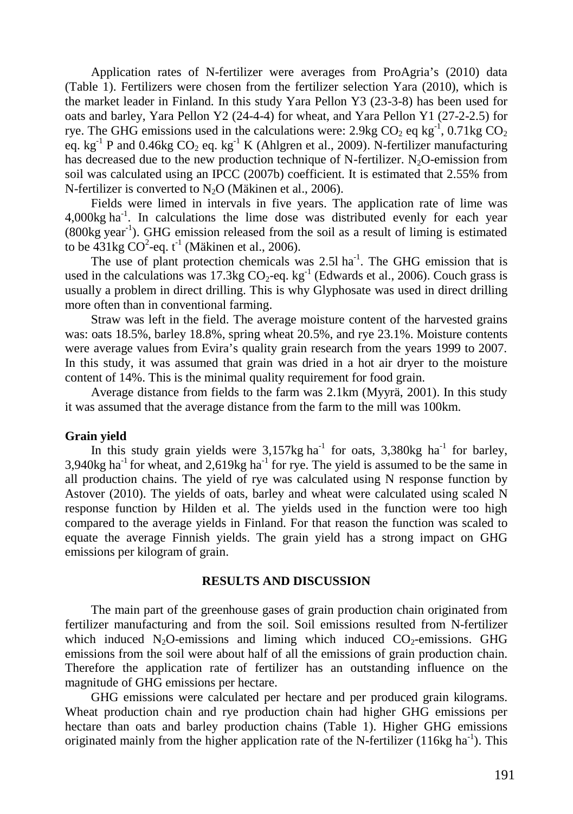Application rates of N-fertilizer were averages from ProAgria's (2010) data (Table 1). Fertilizers were chosen from the fertilizer selection Yara (2010), which is the market leader in Finland. In this study Yara Pellon Y3 (23-3-8) has been used for oats and barley, Yara Pellon Y2 (24-4-4) for wheat, and Yara Pellon Y1 (27-2-2.5) for rye. The GHG emissions used in the calculations were: 2.9kg  $CO_2$  eq kg<sup>-1</sup>, 0.71kg  $CO_2$ eq. kg<sup>-1</sup> P and 0.46kg CO<sub>2</sub> eq. kg<sup>-1</sup> K (Ahlgren et al., 2009). N-fertilizer manufacturing has decreased due to the new production technique of N-fertilizer. N<sub>2</sub>O-emission from soil was calculated using an IPCC (2007b) coefficient. It is estimated that 2.55% from N-fertilizer is converted to  $N_2O$  (Mäkinen et al., 2006).

Fields were limed in intervals in five years. The application rate of lime was  $4,000$ kg ha<sup>-1</sup>. In calculations the lime dose was distributed evenly for each year  $(800kg \text{ year}^{-1})$ . GHG emission released from the soil as a result of liming is estimated to be  $431\text{kg CO}^2$ -eq. t<sup>-1</sup> (Mäkinen et al., 2006).

The use of plant protection chemicals was  $2.5l$  ha<sup>-1</sup>. The GHG emission that is used in the calculations was 17.3kg  $CO_2$ -eq. kg<sup>-1</sup> (Edwards et al., 2006). Couch grass is usually a problem in direct drilling. This is why Glyphosate was used in direct drilling more often than in conventional farming.

Straw was left in the field. The average moisture content of the harvested grains was: oats 18.5%, barley 18.8%, spring wheat 20.5%, and rye 23.1%. Moisture contents were average values from Evira's quality grain research from the years 1999 to 2007. In this study, it was assumed that grain was dried in a hot air dryer to the moisture content of 14%. This is the minimal quality requirement for food grain.

Average distance from fields to the farm was 2.1km (Myyrä, 2001). In this study it was assumed that the average distance from the farm to the mill was 100km.

## **Grain yield**

In this study grain yields were  $3,157$ kg ha<sup>-1</sup> for oats,  $3,380$ kg ha<sup>-1</sup> for barley, 3,940kg ha<sup>-1</sup> for wheat, and 2,619kg ha<sup>-1</sup> for rye. The yield is assumed to be the same in all production chains. The yield of rye was calculated using N response function by Astover (2010). The yields of oats, barley and wheat were calculated using scaled N response function by Hilden et al. The yields used in the function were too high compared to the average yields in Finland. For that reason the function was scaled to equate the average Finnish yields. The grain yield has a strong impact on GHG emissions per kilogram of grain.

## **RESULTS AND DISCUSSION**

The main part of the greenhouse gases of grain production chain originated from fertilizer manufacturing and from the soil. Soil emissions resulted from N-fertilizer which induced  $N_2O$ -emissions and liming which induced  $CO_2$ -emissions. GHG emissions from the soil were about half of all the emissions of grain production chain. Therefore the application rate of fertilizer has an outstanding influence on the magnitude of GHG emissions per hectare.

GHG emissions were calculated per hectare and per produced grain kilograms. Wheat production chain and rye production chain had higher GHG emissions per hectare than oats and barley production chains (Table 1). Higher GHG emissions originated mainly from the higher application rate of the N-fertilizer (116kg ha<sup>-1</sup>). This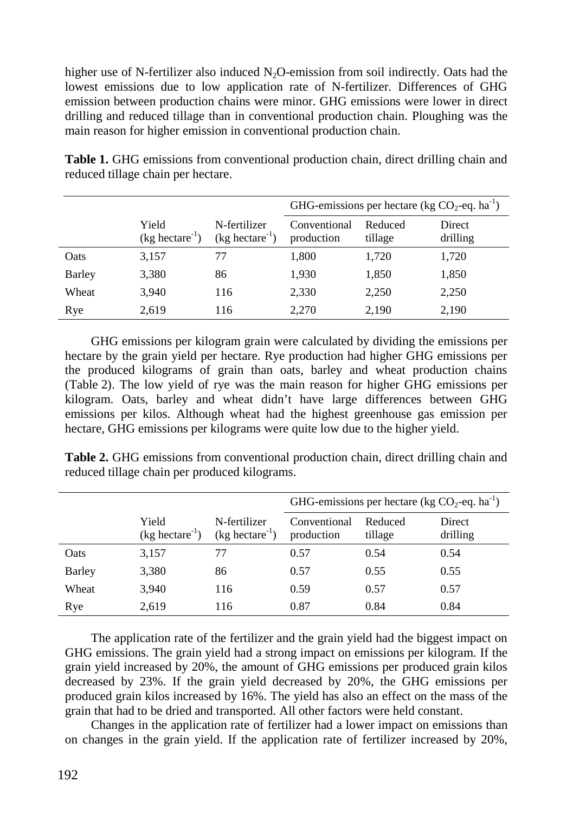higher use of N-fertilizer also induced  $N_2O$ -emission from soil indirectly. Oats had the lowest emissions due to low application rate of N-fertilizer. Differences of GHG emission between production chains were minor. GHG emissions were lower in direct drilling and reduced tillage than in conventional production chain. Ploughing was the main reason for higher emission in conventional production chain.

|        |                            |                                   | GHG-emissions per hectare (kg $CO_2$ -eq. ha <sup>-1</sup> ) |                    |                    |
|--------|----------------------------|-----------------------------------|--------------------------------------------------------------|--------------------|--------------------|
|        | Yield<br>$(kg0 hectare-1)$ | N-fertilizer<br>$(kg0 hectare-1)$ | Conventional<br>production                                   | Reduced<br>tillage | Direct<br>drilling |
| Oats   | 3,157                      | 77                                | 1,800                                                        | 1,720              | 1,720              |
| Barley | 3,380                      | 86                                | 1,930                                                        | 1,850              | 1,850              |
| Wheat  | 3.940                      | 116                               | 2,330                                                        | 2,250              | 2,250              |
| Rye    | 2.619                      | 116                               | 2,270                                                        | 2,190              | 2,190              |

**Table 1.** GHG emissions from conventional production chain, direct drilling chain and reduced tillage chain per hectare.

GHG emissions per kilogram grain were calculated by dividing the emissions per hectare by the grain yield per hectare. Rye production had higher GHG emissions per the produced kilograms of grain than oats, barley and wheat production chains (Table 2). The low yield of rye was the main reason for higher GHG emissions per kilogram. Oats, barley and wheat didn't have large differences between GHG emissions per kilos. Although wheat had the highest greenhouse gas emission per hectare, GHG emissions per kilograms were quite low due to the higher yield.

**Table 2.** GHG emissions from conventional production chain, direct drilling chain and reduced tillage chain per produced kilograms.

|               |                                            |                                   | GHG-emissions per hectare (kg $CO_2$ -eq. ha <sup>-1</sup> ) |                    |                    |
|---------------|--------------------------------------------|-----------------------------------|--------------------------------------------------------------|--------------------|--------------------|
|               | Yield<br>(kg <sub>1</sub> h <sub>1</sub> ) | N-fertilizer<br>$(kg0 hectare-1)$ | Conventional<br>production                                   | Reduced<br>tillage | Direct<br>drilling |
| Oats          | 3,157                                      | 77                                | 0.57                                                         | 0.54               | 0.54               |
| <b>Barley</b> | 3,380                                      | 86                                | 0.57                                                         | 0.55               | 0.55               |
| Wheat         | 3,940                                      | 116                               | 0.59                                                         | 0.57               | 0.57               |
| Rye           | 2,619                                      | 116                               | 0.87                                                         | 0.84               | 0.84               |

The application rate of the fertilizer and the grain yield had the biggest impact on GHG emissions. The grain yield had a strong impact on emissions per kilogram. If the grain yield increased by 20%, the amount of GHG emissions per produced grain kilos decreased by 23%. If the grain yield decreased by 20%, the GHG emissions per produced grain kilos increased by 16%. The yield has also an effect on the mass of the grain that had to be dried and transported. All other factors were held constant.

Changes in the application rate of fertilizer had a lower impact on emissions than on changes in the grain yield. If the application rate of fertilizer increased by 20%,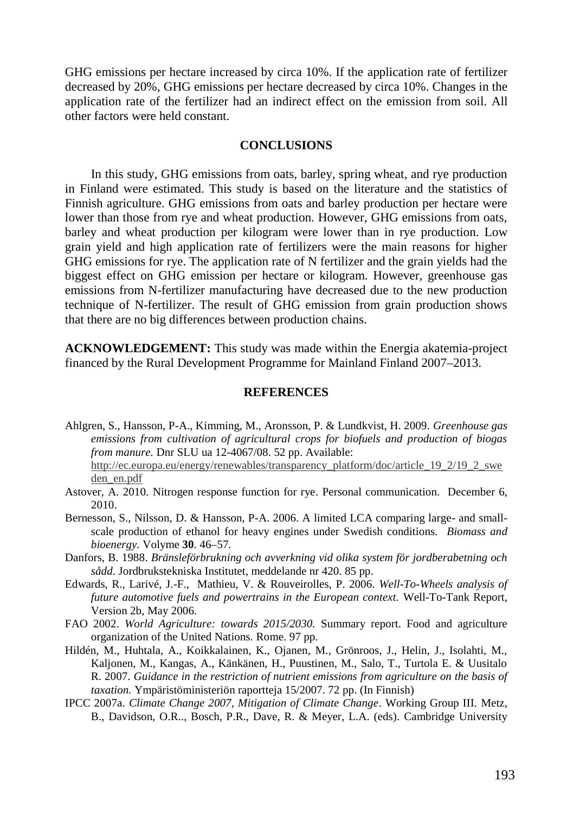GHG emissions per hectare increased by circa 10%. If the application rate of fertilizer decreased by 20%, GHG emissions per hectare decreased by circa 10%. Changes in the application rate of the fertilizer had an indirect effect on the emission from soil. All other factors were held constant.

# **CONCLUSIONS**

In this study, GHG emissions from oats, barley, spring wheat, and rye production in Finland were estimated. This study is based on the literature and the statistics of Finnish agriculture. GHG emissions from oats and barley production per hectare were lower than those from rye and wheat production. However, GHG emissions from oats, barley and wheat production per kilogram were lower than in rye production. Low grain yield and high application rate of fertilizers were the main reasons for higher GHG emissions for rye. The application rate of N fertilizer and the grain yields had the biggest effect on GHG emission per hectare or kilogram. However, greenhouse gas emissions from N-fertilizer manufacturing have decreased due to the new production technique of N-fertilizer. The result of GHG emission from grain production shows that there are no big differences between production chains.

**ACKNOWLEDGEMENT:** This study was made within the Energia akatemia-project financed by the Rural Development Programme for Mainland Finland 2007–2013.

# **REFERENCES**

- Ahlgren, S., Hansson, P-A., Kimming, M., Aronsson, P. & Lundkvist, H. 2009. *Greenhouse gas emissions from cultivation of agricultural crops for biofuels and production of biogas from manure.* Dnr SLU ua 12-4067/08. 52 pp. Available: http://ec.europa.eu/energy/renewables/transparency\_platform/doc/article\_19\_2/19\_2\_swe den\_en.pdf
- Astover, A. 2010. Nitrogen response function for rye. Personal communication. December 6, 2010.
- Bernesson, S., Nilsson, D. & Hansson, P-A. 2006. A limited LCA comparing large- and smallscale production of ethanol for heavy engines under Swedish conditions. *Biomass and bioenergy.* Volyme **30**. 46–57.
- Danfors, B. 1988. *Bränsleförbrukning och avverkning vid olika system för jordberabetning och sådd.* Jordbrukstekniska Institutet, meddelande nr 420. 85 pp.
- Edwards, R., Larivé, J.-F., Mathieu, V. & Rouveirolles, P. 2006. *Well-To-Wheels analysis of future automotive fuels and powertrains in the European context.* Well-To-Tank Report, Version 2b, May 2006.
- FAO 2002. *World Agriculture: towards 2015/2030.* Summary report. Food and agriculture organization of the United Nations. Rome. 97 pp.
- Hildén, M., Huhtala, A., Koikkalainen, K., Ojanen, M., Grönroos, J., Helin, J., Isolahti, M., Kaljonen, M., Kangas, A., Känkänen, H., Puustinen, M., Salo, T., Turtola E. & Uusitalo R. 2007. *Guidance in the restriction of nutrient emissions from agriculture on the basis of taxation.* Ympäristöministeriön raportteja 15/2007. 72 pp. (In Finnish)
- IPCC 2007a. *Climate Change 2007, Mitigation of Climate Change*. Working Group III*.* Metz, B., Davidson, O.R.., Bosch, P.R., Dave, R. & Meyer, L.A. (eds). Cambridge University